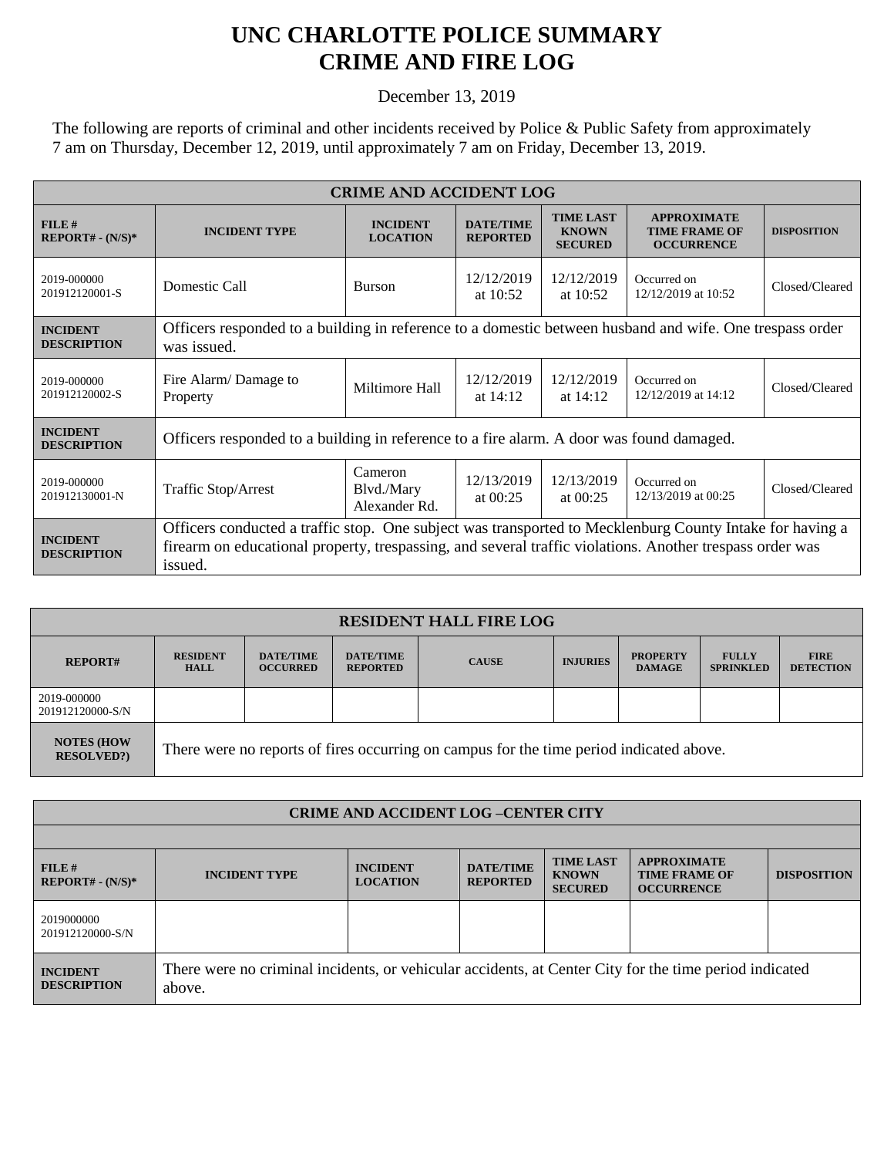## **UNC CHARLOTTE POLICE SUMMARY CRIME AND FIRE LOG**

December 13, 2019

The following are reports of criminal and other incidents received by Police & Public Safety from approximately 7 am on Thursday, December 12, 2019, until approximately 7 am on Friday, December 13, 2019.

| <b>CRIME AND ACCIDENT LOG</b>         |                                                                                                                                                                                                                                 |                                        |                                     |                                                    |                                                                 |                    |  |
|---------------------------------------|---------------------------------------------------------------------------------------------------------------------------------------------------------------------------------------------------------------------------------|----------------------------------------|-------------------------------------|----------------------------------------------------|-----------------------------------------------------------------|--------------------|--|
| $FILE$ #<br>$REPORT# - (N/S)*$        | <b>INCIDENT TYPE</b>                                                                                                                                                                                                            | <b>INCIDENT</b><br><b>LOCATION</b>     | <b>DATE/TIME</b><br><b>REPORTED</b> | <b>TIME LAST</b><br><b>KNOWN</b><br><b>SECURED</b> | <b>APPROXIMATE</b><br><b>TIME FRAME OF</b><br><b>OCCURRENCE</b> | <b>DISPOSITION</b> |  |
| 2019-000000<br>201912120001-S         | Domestic Call                                                                                                                                                                                                                   | <b>Burson</b>                          | 12/12/2019<br>at $10:52$            | 12/12/2019<br>at $10:52$                           | Occurred on<br>12/12/2019 at 10:52                              | Closed/Cleared     |  |
| <b>INCIDENT</b><br><b>DESCRIPTION</b> | Officers responded to a building in reference to a domestic between husband and wife. One trespass order<br>was issued.                                                                                                         |                                        |                                     |                                                    |                                                                 |                    |  |
| 2019-000000<br>201912120002-S         | Fire Alarm/Damage to<br>Property                                                                                                                                                                                                | Miltimore Hall                         | 12/12/2019<br>at $14:12$            | 12/12/2019<br>at $14:12$                           | Occurred on<br>12/12/2019 at 14:12                              | Closed/Cleared     |  |
| <b>INCIDENT</b><br><b>DESCRIPTION</b> | Officers responded to a building in reference to a fire alarm. A door was found damaged.                                                                                                                                        |                                        |                                     |                                                    |                                                                 |                    |  |
| 2019-000000<br>201912130001-N         | Traffic Stop/Arrest                                                                                                                                                                                                             | Cameron<br>Blvd./Mary<br>Alexander Rd. | 12/13/2019<br>at $00:25$            | 12/13/2019<br>at $00:25$                           | Occurred on<br>12/13/2019 at 00:25                              | Closed/Cleared     |  |
| <b>INCIDENT</b><br><b>DESCRIPTION</b> | Officers conducted a traffic stop. One subject was transported to Mecklenburg County Intake for having a<br>firearm on educational property, trespassing, and several traffic violations. Another trespass order was<br>issued. |                                        |                                     |                                                    |                                                                 |                    |  |

| <b>RESIDENT HALL FIRE LOG</b>         |                                                                                         |                                     |                                     |              |                 |                                  |                                  |                                 |  |
|---------------------------------------|-----------------------------------------------------------------------------------------|-------------------------------------|-------------------------------------|--------------|-----------------|----------------------------------|----------------------------------|---------------------------------|--|
| <b>REPORT#</b>                        | <b>RESIDENT</b><br><b>HALL</b>                                                          | <b>DATE/TIME</b><br><b>OCCURRED</b> | <b>DATE/TIME</b><br><b>REPORTED</b> | <b>CAUSE</b> | <b>INJURIES</b> | <b>PROPERTY</b><br><b>DAMAGE</b> | <b>FULLY</b><br><b>SPRINKLED</b> | <b>FIRE</b><br><b>DETECTION</b> |  |
| 2019-000000<br>201912120000-S/N       |                                                                                         |                                     |                                     |              |                 |                                  |                                  |                                 |  |
| <b>NOTES (HOW</b><br><b>RESOLVED?</b> | There were no reports of fires occurring on campus for the time period indicated above. |                                     |                                     |              |                 |                                  |                                  |                                 |  |

| <b>CRIME AND ACCIDENT LOG-CENTER CITY</b> |                                                                                                                  |                                    |                                     |                                                    |                                                                 |                    |  |
|-------------------------------------------|------------------------------------------------------------------------------------------------------------------|------------------------------------|-------------------------------------|----------------------------------------------------|-----------------------------------------------------------------|--------------------|--|
|                                           |                                                                                                                  |                                    |                                     |                                                    |                                                                 |                    |  |
| $FILE$ #<br>$REPORT# - (N/S)*$            | <b>INCIDENT TYPE</b>                                                                                             | <b>INCIDENT</b><br><b>LOCATION</b> | <b>DATE/TIME</b><br><b>REPORTED</b> | <b>TIME LAST</b><br><b>KNOWN</b><br><b>SECURED</b> | <b>APPROXIMATE</b><br><b>TIME FRAME OF</b><br><b>OCCURRENCE</b> | <b>DISPOSITION</b> |  |
| 2019000000<br>201912120000-S/N            |                                                                                                                  |                                    |                                     |                                                    |                                                                 |                    |  |
| <b>INCIDENT</b><br><b>DESCRIPTION</b>     | There were no criminal incidents, or vehicular accidents, at Center City for the time period indicated<br>above. |                                    |                                     |                                                    |                                                                 |                    |  |